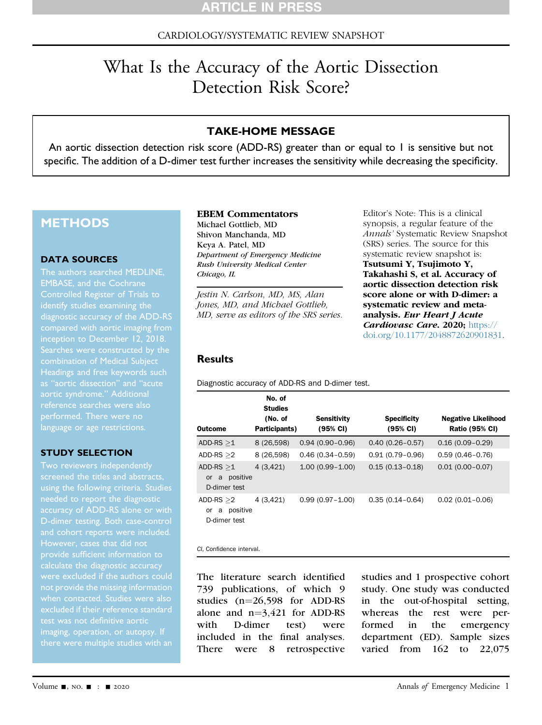## CARDIOLOGY/SYSTEMATIC REVIEW SNAPSHOT

# What Is the Accuracy of the Aortic Dissection Detection Risk Score?

## TAKE-HOME MESSAGE

An aortic dissection detection risk score (ADD-RS) greater than or equal to 1 is sensitive but not specific. The addition of a D-dimer test further increases the sensitivity while decreasing the specificity.

# **METHODS**

#### DATA SOURCES

The authors searched MEDLINE, EMBASE, and the Cochrane Controlled Register of Trials to identify studies examining the diagnostic accuracy of the ADD-RS compared with aortic imaging from Searches were constructed by the combination of Medical Subject Headings and free keywords such language or age restrictions.

#### STUDY SELECTION

Two reviewers independently needed to report the diagnostic accuracy of ADD-RS alone or with However, cases that did not provide sufficient information to not provide the missing information excluded if their reference standard test was not definitive aortic imaging, operation, or autopsy. If

#### EBEM Commentators

Michael Gottlieb, MD Shivon Manchanda, MD Keya A. Patel, MD Department of Emergency Medicine Rush University Medical Center Chicago, IL

Jestin N. Carlson, MD, MS, Alan Jones, MD, and Michael Gottlieb, MD, serve as editors of the SRS series. Editor's Note: This is a clinical synopsis, a regular feature of the Annals' Systematic Review Snapshot (SRS) series. The source for this systematic review snapshot is: Tsutsumi Y, Tsujimoto Y, Takahashi S, et al. Accuracy of aortic dissection detection risk score alone or with D-dimer: a systematic review and metaanalysis. Eur Heart J Acute Cardiovasc Care. 2020; [https://](https://doi.org/10.1177/2048872620901831) [doi.org/10.1177/2048872620901831](https://doi.org/10.1177/2048872620901831).

#### Results

Diagnostic accuracy of ADD-RS and D-dimer test.

| Outcome                                                   | No. of<br><b>Studies</b><br>(No. of<br>Participants) | <b>Sensitivity</b><br>(95% CI) | <b>Specificity</b><br>(95% CI) | <b>Negative Likelihood</b><br><b>Ratio (95% CI)</b> |
|-----------------------------------------------------------|------------------------------------------------------|--------------------------------|--------------------------------|-----------------------------------------------------|
| ADD-RS $>1$                                               | 8 (26,598)                                           | $0.94(0.90 - 0.96)$            | $0.40(0.26 - 0.57)$            | $0.16(0.09 - 0.29)$                                 |
| $ADD-RS > 2$                                              | 8 (26,598)                                           | $0.46(0.34 - 0.59)$            | $0.91(0.79 - 0.96)$            | $0.59(0.46 - 0.76)$                                 |
| ADD-RS $>1$<br>positive<br>a<br><b>or</b><br>D-dimer test | 4(3,421)                                             | $1.00(0.99 - 1.00)$            | $0.15(0.13 - 0.18)$            | $0.01(0.00 - 0.07)$                                 |
| ADD-RS $>2$<br>positive<br>a<br>or<br>D-dimer test        | 4 (3,421)                                            | $0.99(0.97 - 1.00)$            | $0.35(0.14 - 0.64)$            | $0.02(0.01 - 0.06)$                                 |

CI, Confidence interval.

The literature search identified 739 publications, of which 9 studies  $(n=26,598)$  for ADD-RS alone and  $n=3,421$  for ADD-RS<br>with D-dimer test) were D-dimer included in the final analyses. There were 8 retrospective studies and 1 prospective cohort study. One study was conducted in the out-of-hospital setting, whereas the rest were performed in the emergency department (ED). Sample sizes varied from 162 to 22,075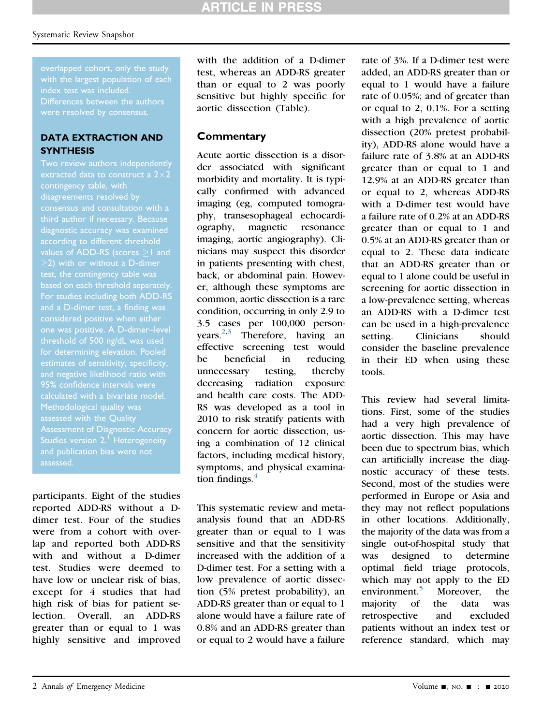overlapped cohort, only the study with the largest population of each index test was included.

### DATA EXTRACTION AND **SYNTHESIS**

Two review authors independently contingency table, with disagreements resolved by third author if necessary. Because diagnostic accuracy was examined values of ADD-RS (scores  $\geq$  1 and  $>$ 2) with or without a D-dimer test, the contingency table was For studies including both ADD-RS and a D-dimer test, a finding was threshold of 500 ng/dL was used for determining elevation. Pooled and negative likelihood ratio with Methodological quality was assessed with the Quality Assessment of Diagnostic Accuracy Studies version 2.<sup>[1](#page-2-4)</sup> Heterogeneity and publication bias were not assessed.

participants. Eight of the studies reported ADD-RS without a Ddimer test. Four of the studies were from a cohort with overlap and reported both ADD-RS with and without a D-dimer test. Studies were deemed to have low or unclear risk of bias, except for 4 studies that had high risk of bias for patient selection. Overall, an ADD-RS greater than or equal to 1 was highly sensitive and improved with the addition of a D-dimer test, whereas an ADD-RS greater than or equal to 2 was poorly sensitive but highly specific for aortic dissection (Table).

# **Commentary**

Acute aortic dissection is a disorder associated with significant morbidity and mortality. It is typically confirmed with advanced imaging (eg, computed tomography, transesophageal echocardiography, magnetic resonance imaging, aortic angiography). Clinicians may suspect this disorder in patients presenting with chest, back, or abdominal pain. However, although these symptoms are common, aortic dissection is a rare condition, occurring in only 2.9 to 3.5 cases per 100,000 personyears. $2,3$  $2,3$  Therefore, having an effective screening test would be beneficial in reducing unnecessary testing, thereby decreasing radiation exposure and health care costs. The ADD-RS was developed as a tool in 2010 to risk stratify patients with concern for aortic dissection, using a combination of 12 clinical factors, including medical history, symptoms, and physical examination findings. $4$ 

This systematic review and metaanalysis found that an ADD-RS greater than or equal to 1 was sensitive and that the sensitivity increased with the addition of a D-dimer test. For a setting with a low prevalence of aortic dissection (5% pretest probability), an ADD-RS greater than or equal to 1 alone would have a failure rate of 0.8% and an ADD-RS greater than or equal to 2 would have a failure

rate of 3%. If a D-dimer test were added, an ADD-RS greater than or equal to 1 would have a failure rate of 0.05%; and of greater than or equal to 2, 0.1%. For a setting with a high prevalence of aortic dissection (20% pretest probability), ADD-RS alone would have a failure rate of 3.8% at an ADD-RS greater than or equal to 1 and 12.9% at an ADD-RS greater than or equal to 2, whereas ADD-RS with a D-dimer test would have a failure rate of 0.2% at an ADD-RS greater than or equal to 1 and 0.5% at an ADD-RS greater than or equal to 2. These data indicate that an ADD-RS greater than or equal to 1 alone could be useful in screening for aortic dissection in a low-prevalence setting, whereas an ADD-RS with a D-dimer test can be used in a high-prevalence setting. Clinicians should consider the baseline prevalence in their ED when using these tools.

This review had several limitations. First, some of the studies had a very high prevalence of aortic dissection. This may have been due to spectrum bias, which can artificially increase the diagnostic accuracy of these tests. Second, most of the studies were performed in Europe or Asia and they may not reflect populations in other locations. Additionally, the majority of the data was from a single out-of-hospital study that was designed to determine optimal field triage protocols, which may not apply to the ED environment.<sup>[5](#page-2-3)</sup> Moreover, the majority of the data was retrospective and excluded patients without an index test or reference standard, which may